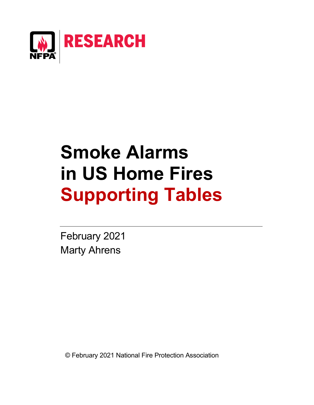

# **Smoke Alarms in US Home Fires Supporting Tables**

February 2021 Marty Ahrens

© February 2021 National Fire Protection Association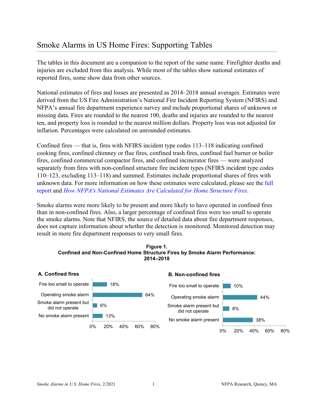## [Smoke Alarms in US Home Fires: Supporting Tables](https://www.nfpa.org/News-and-Research/Data-research-and-tools/US-Fire-Problem/Cooking-equipment)

The tables in this document are a companion to the report of the same name. Firefighter deaths and injuries are excluded from this analysis. While most of the tables show national estimates of reported fires, some show data from other sources.

National estimates of fires and losses are presented as 2014–2018 annual averages. Estimates were derived from the US Fire Administration's National Fire Incident Reporting System (NFIRS) and NFPA's annual fire department experience survey and include proportional shares of unknown or missing data. Fires are rounded to the nearest 100, deaths and injuries are rounded to the nearest ten, and property loss is rounded to the nearest million dollars. Property loss was not adjusted for inflation. Percentages were calculated on unrounded estimates.

Confined fires — that is, fires with NFIRS incident type codes 113–118 indicating confined cooking fires, confined chimney or flue fires, confined trash fires, confined fuel burner or boiler fires, confined commercial compactor fires, and confined incinerator fires — were analyzed separately from fires with non-confined structure fire incident types (NFIRS incident type codes 110–123, excluding 113–118) and summed. Estimates include proportional shares of fires with unknown data. For more information on how these estimates were calculated, please see the [full](https://www.nfpa.org/News-and-Research/Data-research-and-tools/Detection-and-Signaling/Smoke-Alarms-in-US-Home-Fires)  [report](https://www.nfpa.org/News-and-Research/Data-research-and-tools/Detection-and-Signaling/Smoke-Alarms-in-US-Home-Fires) and *[How NFPA's National Estimates Are Calculated for Home Structure Fires](https://www.nfpa.org/%7E/media/Files/News%20and%20Research/Fire%20statistics%20and%20reports/NFPA-estimates-and-methodology/NationalEstimatesHomeFires.pdf)*.

Smoke alarms were more likely to be present and more likely to have operated in confined fires than in non-confined fires. Also, a larger percentage of confined fires were too small to operate the smoke alarms. Note that NFIRS, the source of detailed data about fire department responses, does not capture information about whether the detection is monitored. Monitored detection may result in more fire department responses to very small fires.



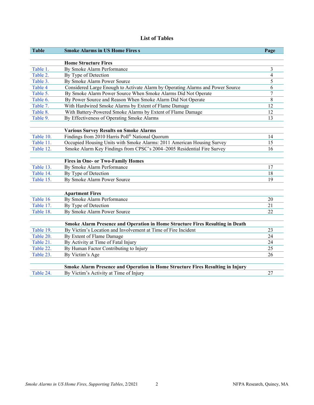#### **List of Tables**

| <b>Table</b>           | <b>Smoke Alarms in US Home Fires</b>                                           | Page                     |
|------------------------|--------------------------------------------------------------------------------|--------------------------|
|                        | <b>Home Structure Fires</b>                                                    |                          |
| Table 1.               | By Smoke Alarm Performance                                                     | 3                        |
| Table 2.               | By Type of Detection                                                           | $\overline{\mathcal{A}}$ |
| Table 3.               | By Smoke Alarm Power Source                                                    | 5                        |
| Table 4                | Considered Large Enough to Activate Alarm by Operating Alarms and Power Source | 6                        |
| Table 5.               | By Smoke Alarm Power Source When Smoke Alarms Did Not Operate                  | 7                        |
| Table 6.               | By Power Source and Reason When Smoke Alarm Did Not Operate                    | 8                        |
| Table 7.               | With Hardwired Smoke Alarms by Extent of Flame Damage                          | 12                       |
| Table 8.               | With Battery-Powered Smoke Alarms by Extent of Flame Damage                    | 12                       |
| Table 9.               | By Effectiveness of Operating Smoke Alarms                                     | 13                       |
|                        |                                                                                |                          |
|                        | <b>Various Survey Results on Smoke Alarms</b>                                  |                          |
| Table 10.              | Findings from 2010 Harris Poll® National Quorum                                | 14                       |
| Table 11.              | Occupied Housing Units with Smoke Alarms: 2011 American Housing Survey         | 15                       |
| Table 12.              | Smoke Alarm Key Findings from CPSC's 2004-2005 Residential Fire Survey         | 16                       |
|                        |                                                                                |                          |
|                        | <b>Fires in One- or Two-Family Homes</b>                                       |                          |
| Table 13.              | By Smoke Alarm Performance                                                     | 17                       |
| Table 14.              | By Type of Detection                                                           | 18                       |
| Table 15.              | By Smoke Alarm Power Source                                                    | 19                       |
|                        |                                                                                |                          |
|                        | <b>Apartment Fires</b>                                                         |                          |
| Table 16.              | By Smoke Alarm Performance                                                     | 20                       |
| Table 17.              | By Type of Detection                                                           | 21                       |
| Table 18.              | By Smoke Alarm Power Source                                                    | 22                       |
|                        |                                                                                |                          |
|                        | Smoke Alarm Presence and Operation in Home Structure Fires Resulting in Death  | 23                       |
| Table 19.<br>Table 20. | By Victim's Location and Involvement at Time of Fire Incident                  | 24                       |
| Table 21.              | By Extent of Flame Damage                                                      | 24                       |
| Table 22.              | By Activity at Time of Fatal Injury                                            | 25                       |
|                        | By Human Factor Contributing to Injury                                         | 26                       |
| Table 23.              | By Victim's Age                                                                |                          |
|                        | Smoke Alarm Presence and Operation in Home Structure Fires Resulting in Injury |                          |
| Table 24.              | By Victim's Activity at Time of Injury                                         | 27                       |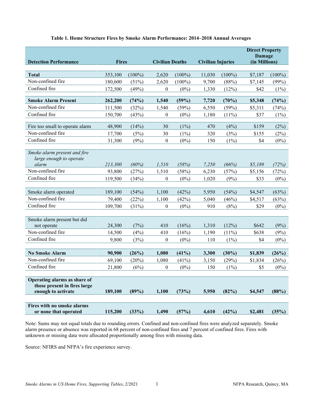<span id="page-3-0"></span>

| <b>Detection Performance</b>                                                       | <b>Fires</b>              |                      | <b>Civilian Deaths</b>         |                           | <b>Civilian Injuries</b> |                              | <b>Direct Property</b><br>Damage<br>(in Millions) |                         |
|------------------------------------------------------------------------------------|---------------------------|----------------------|--------------------------------|---------------------------|--------------------------|------------------------------|---------------------------------------------------|-------------------------|
| <b>Total</b>                                                                       | 353,100                   | $(100\%)$            | 2,620                          | $(100\%)$                 | 11,030                   | $(100\%)$                    | \$7,187                                           | $(100\%)$               |
| Non-confined fire                                                                  | 180,600                   | (51%)                | 2,620                          | $(100\%)$                 | 9,700                    | (88%)                        | \$7,145                                           | (99%)                   |
| Confined fire                                                                      | 172,500                   | (49%)                | 0                              | $(0\%)$                   | 1,330                    | (12%)                        | \$42                                              | (1%)                    |
|                                                                                    |                           |                      |                                |                           |                          |                              |                                                   |                         |
| <b>Smoke Alarm Present</b>                                                         | 262,200                   | (74%)                | 1,540                          | (59%)                     | 7,720                    | (70%)                        | \$5,348                                           | (74%)                   |
| Non-confined fire                                                                  | 111,500                   | (32%)                | 1,540                          | (59%)                     | 6,550                    | (59%)                        | \$5,311                                           | (74%)                   |
| Confined fire                                                                      | 150,700                   | (43%)                | $\boldsymbol{0}$               | $(0\%)$                   | 1,180                    | $(11\%)$                     | \$37                                              | $(1\%)$                 |
| Fire too small to operate alarm                                                    | 48,900                    | (14%)                | 30                             | $(1\%)$                   | 470                      | (4%)                         | \$159                                             | (2%)                    |
| Non-confined fire                                                                  | 17,700                    | (5%)                 | 30                             | $(1\%)$                   | 320                      | (3%)                         | \$155                                             | (2%)                    |
| Confined fire                                                                      | 31,300                    | (9%)                 | $\boldsymbol{0}$               | $(0\%)$                   | 150                      | $(1\%)$                      | \$4                                               | $(0\%)$                 |
| Smoke alarm present and fire<br>large enough to operate<br>alarm                   | 213,300                   | (60%)                | 1,510                          | (58%)                     | 7,250                    | (66%)                        | \$5,189                                           | (72%)                   |
| Non-confined fire                                                                  | 93,800                    | (27%)                | 1,510                          | (58%)                     | 6,230                    | (57%)                        | \$5,156                                           | (72%)                   |
| Confined fire                                                                      | 119,500                   | (34%)                | $\boldsymbol{0}$               | $(0\%)$                   | 1,020                    | (9%)                         | \$33                                              | $(0\%)$                 |
|                                                                                    |                           |                      |                                |                           |                          |                              |                                                   |                         |
| Smoke alarm operated                                                               | 189,100                   | (54%)                | 1,100                          | (42%)                     | 5,950                    | (54%)                        | \$4,547                                           | (63%)                   |
| Non-confined fire                                                                  | 79,400                    | (22%)                | 1,100                          | (42%)                     | 5,040                    | (46%)                        | \$4,517                                           | (63%)                   |
| Confined fire                                                                      | 109,700                   | (31%)                | $\boldsymbol{0}$               | $(0\%)$                   | 910                      | (8%)                         | \$29                                              | $(0\%)$                 |
| Smoke alarm present but did<br>not operate<br>Non-confined fire<br>Confined fire   | 24,300<br>14,500<br>9,800 | (7%)<br>(4%)<br>(3%) | 410<br>410<br>$\boldsymbol{0}$ | (16%)<br>(16%)<br>$(0\%)$ | 1,310<br>1,190<br>110    | (12%)<br>$(11\%)$<br>$(1\%)$ | \$642<br>\$638<br>\$4                             | (9%)<br>(9%)<br>$(0\%)$ |
| <b>No Smoke Alarm</b>                                                              | 90,900                    | (26%)                | 1,080                          | (41%)                     | 3,300                    | (30%)                        | \$1,839                                           | (26%)                   |
| Non-confined fire                                                                  | 69,100                    | (20%)                | 1,080                          | (41%)                     | 3,150                    | (29%)                        | \$1,834                                           | (26%)                   |
| Confined fire                                                                      | 21,800                    | (6%)                 | $\boldsymbol{0}$               | $(0\%)$                   | 150                      | $(1\%)$                      | \$5                                               | $(0\%)$                 |
| Operating alarms as share of<br>those present in fires large<br>enough to activate | 189,100                   | (89%)                | 1,100                          | (73%)                     | 5,950                    | (82%)                        | \$4,547                                           | (88%)                   |
| Fires with no smoke alarms<br>or none that operated                                | 115,200                   | (33%)                | 1,490                          | (57%)                     | 4,610                    | (42%)                        | \$2,481                                           | (35%)                   |

#### **Table 1. Home Structure Fires by Smoke Alarm Performance: 2014–2018 Annual Averages**

Note: Sums may not equal totals due to rounding errors. Confined and non-confined fires were analyzed separately. Smoke alarm presence or absence was reported in 68 percent of non-confined fires and 7 percent of confined fires. Fires with unknown or missing data were allocated proportionally among fires with missing data.

Source: NFIRS and NFPA's fire experience survey.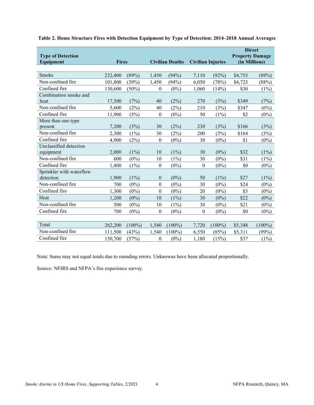| <b>Type of Detection</b><br>Equipment | <b>Fires</b> |           | <b>Civilian Deaths</b> |           | <b>Civilian Injuries</b> |           | <b>Direct</b><br><b>Property Damage</b><br>(in Millions) |           |
|---------------------------------------|--------------|-----------|------------------------|-----------|--------------------------|-----------|----------------------------------------------------------|-----------|
|                                       |              |           |                        |           |                          |           |                                                          |           |
| Smoke                                 | 232,400      | (89%)     | 1,450                  | (94%)     | 7,110                    | (92%)     | \$4,753                                                  | (89%)     |
| Non-confined fire                     | 101,800      | (39%)     | 1,450                  | (94%)     | 6,050                    | (78%)     | \$4,723                                                  | (88%)     |
| Confined fire                         | 130,600      | (50%)     | $\theta$               | $(0\%)$   | 1,060                    | (14%)     | \$30                                                     | $(1\%)$   |
| Combination smoke and                 |              |           |                        |           |                          |           |                                                          |           |
| heat                                  | 17,500       | (7%)      | 40                     | (2%)      | 270                      | (3%)      | \$349                                                    | (7%)      |
| Non-confined fire                     | 5,600        | $(2\%)$   | 40                     | $(2\%)$   | 210                      | (3%)      | \$347                                                    | (6%)      |
| Confined fire                         | 11,900       | (5%)      | $\boldsymbol{0}$       | $(0\%)$   | 50                       | $(1\%)$   | \$2                                                      | $(0\%)$   |
| More than one type                    |              |           |                        |           |                          |           |                                                          |           |
| present                               | 7,200        | (3%)      | 30                     | (2%)      | 230                      | (3%)      | \$166                                                    | (3%)      |
| Non-confined fire                     | 2,300        | $(1\%)$   | 30                     | (2%)      | 200                      | (3%)      | \$164                                                    | (3%)      |
| Confined fire                         | 4,900        | (2%)      | $\boldsymbol{0}$       | $(0\%)$   | 30                       | $(0\%)$   | \$1                                                      | $(0\%)$   |
| Unclassified detection                |              |           |                        |           |                          |           |                                                          |           |
| equipment                             | 2,000        | $(1\%)$   | 10                     | $(1\%)$   | 30                       | $(0\%)$   | \$32                                                     | $(1\%)$   |
| Non-confined fire                     | 600          | $(0\%)$   | 10                     | $(1\%)$   | 30                       | $(0\%)$   | \$31                                                     | $(1\%)$   |
| Confined fire                         | 1,400        | $(1\%)$   | $\boldsymbol{0}$       | $(0\%)$   | $\boldsymbol{0}$         | $(0\%)$   | \$0                                                      | $(0\%)$   |
| Sprinkler with waterflow              |              |           |                        |           |                          |           |                                                          |           |
| detection                             | 1,900        | $(1\%)$   | $\boldsymbol{0}$       | $(0\%)$   | 50                       | $(1\%)$   | \$27                                                     | $(1\%)$   |
| Non-confined fire                     | 700          | $(0\%)$   | $\mathbf{0}$           | $(0\%)$   | 30                       | $(0\%)$   | \$24                                                     | $(0\%)$   |
| Confined fire                         | 1,300        | $(0\%)$   | $\theta$               | $(0\%)$   | 20                       | $(0\%)$   | \$3                                                      | $(0\%)$   |
| Heat                                  | 1,200        | $(0\%)$   | 10                     | $(1\%)$   | 30                       | $(0\%)$   | \$22                                                     | $(0\%)$   |
| Non-confined fire                     | 500          | $(0\%)$   | 10                     | $(1\%)$   | 30                       | $(0\%)$   | \$21                                                     | $(0\%)$   |
| Confined fire                         | 700          | $(0\%)$   | $\theta$               | $(0\%)$   | $\theta$                 | $(0\%)$   | \$0                                                      | $(0\%)$   |
|                                       |              |           |                        |           |                          |           |                                                          |           |
| Total                                 | 262,200      | $(100\%)$ | 1,540                  | $(100\%)$ | 7,720                    | $(100\%)$ | \$5,348                                                  | $(100\%)$ |
| Non-confined fire                     | 111,500      | (43%)     | 1,540                  | $(100\%)$ | 6,550                    | (85%)     | \$5,311                                                  | (99%)     |
| Confined fire                         | 150,700      | (57%)     | $\boldsymbol{0}$       | $(0\%)$   | 1,180                    | (15%)     | \$37                                                     | $(1\%)$   |

<span id="page-4-0"></span>**Table 2. Home Structure Fires with Detection Equipment by Type of Detection: 2014–2018 Annual Averages**

Note: Sums may not equal totals due to rounding errors. Unknowns have been allocated proportionally.

Source: NFIRS and NFPA's fire experience survey.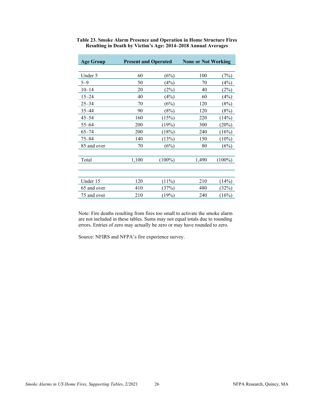|       |           | <b>None or Not Working</b>  |           |  |  |
|-------|-----------|-----------------------------|-----------|--|--|
|       |           |                             |           |  |  |
| 60    | (6%)      | 100                         | (7%)      |  |  |
| 50    | (4%)      | 70                          | (4%)      |  |  |
| 20    | (2%)      | 40                          | (2%)      |  |  |
| 40    | (4%)      | 60                          | (4%)      |  |  |
| 70    | (6%)      | 120                         | (8%)      |  |  |
| 90    | (8%)      | 120                         | (8%)      |  |  |
| 160   | (15%)     | 220                         | (14%)     |  |  |
| 200   | (19%)     | 300                         | $(20\%)$  |  |  |
| 200   | (18%)     | 240                         | (16%)     |  |  |
| 140   | (13%)     | 150                         | $(10\%)$  |  |  |
| 70    | (6%)      | 80                          | (6%)      |  |  |
|       |           |                             |           |  |  |
| 1,100 | $(100\%)$ | 1,490                       | $(100\%)$ |  |  |
|       |           |                             |           |  |  |
|       |           |                             |           |  |  |
| 120   | (11%)     | 210                         | (14%)     |  |  |
| 410   | (37%)     | 480                         | (32%)     |  |  |
| 210   | (19%)     | 240                         | $(16\%)$  |  |  |
|       |           | <b>Present and Operated</b> |           |  |  |

<span id="page-26-0"></span>**Table 23. Smoke Alarm Presence and Operation in Home Structure Fires Resulting in Death by Victim's Age: 2014–2018 Annual Averages** 

Note: Fire deaths resulting from fires too small to activate the smoke alarm are not included in these tables. Sums may not equal totals due to rounding errors. Entries of zero may actually be zero or may have rounded to zero.

Source: NFIRS and NFPA's fire experience survey.